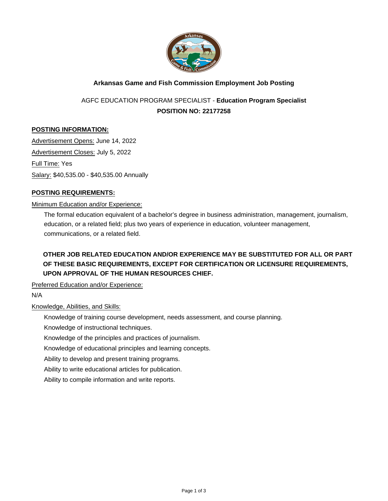

# **Arkansas Game and Fish Commission Employment Job Posting**

# AGFC EDUCATION PROGRAM SPECIALIST - **Education Program Specialist POSITION NO: 22177258**

# **POSTING INFORMATION:**

Advertisement Opens: June 14, 2022 Advertisement Closes: July 5, 2022 Full Time: Yes Salary: \$40,535.00 - \$40,535.00 Annually

# **POSTING REQUIREMENTS:**

#### Minimum Education and/or Experience:

The formal education equivalent of a bachelor's degree in business administration, management, journalism, education, or a related field; plus two years of experience in education, volunteer management, communications, or a related field.

# **OTHER JOB RELATED EDUCATION AND/OR EXPERIENCE MAY BE SUBSTITUTED FOR ALL OR PART OF THESE BASIC REQUIREMENTS, EXCEPT FOR CERTIFICATION OR LICENSURE REQUIREMENTS, UPON APPROVAL OF THE HUMAN RESOURCES CHIEF.**

Preferred Education and/or Experience:

N/A

#### Knowledge, Abilities, and Skills:

Knowledge of training course development, needs assessment, and course planning.

Knowledge of instructional techniques.

Knowledge of the principles and practices of journalism.

Knowledge of educational principles and learning concepts.

Ability to develop and present training programs.

Ability to write educational articles for publication.

Ability to compile information and write reports.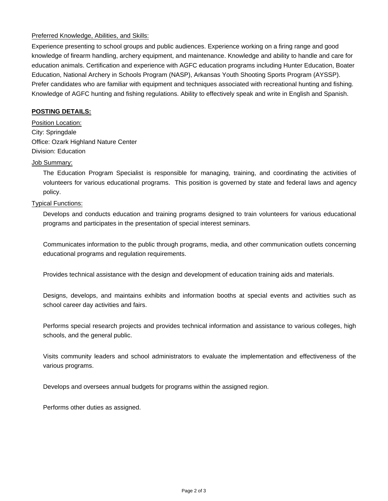#### Preferred Knowledge, Abilities, and Skills:

Experience presenting to school groups and public audiences. Experience working on a firing range and good knowledge of firearm handling, archery equipment, and maintenance. Knowledge and ability to handle and care for education animals. Certification and experience with AGFC education programs including Hunter Education, Boater Education, National Archery in Schools Program (NASP), Arkansas Youth Shooting Sports Program (AYSSP). Prefer candidates who are familiar with equipment and techniques associated with recreational hunting and fishing. Knowledge of AGFC hunting and fishing regulations. Ability to effectively speak and write in English and Spanish.

#### **POSTING DETAILS:**

Position Location: City: Springdale Office: Ozark Highland Nature Center Division: Education

#### Job Summary:

The Education Program Specialist is responsible for managing, training, and coordinating the activities of volunteers for various educational programs. This position is governed by state and federal laws and agency policy.

#### Typical Functions:

Develops and conducts education and training programs designed to train volunteers for various educational programs and participates in the presentation of special interest seminars.

Communicates information to the public through programs, media, and other communication outlets concerning educational programs and regulation requirements.

Provides technical assistance with the design and development of education training aids and materials.

Designs, develops, and maintains exhibits and information booths at special events and activities such as school career day activities and fairs.

Performs special research projects and provides technical information and assistance to various colleges, high schools, and the general public.

Visits community leaders and school administrators to evaluate the implementation and effectiveness of the various programs.

Develops and oversees annual budgets for programs within the assigned region.

Performs other duties as assigned.